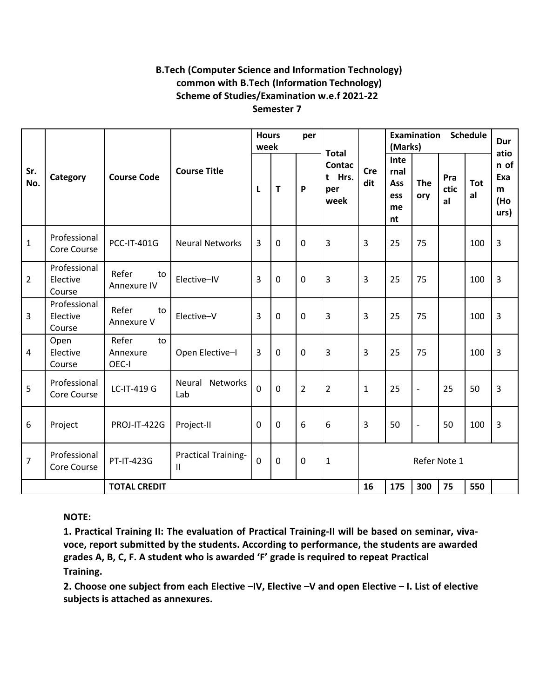### **B.Tech (Computer Science and Information Technology) common with B.Tech (Information Technology) Scheme of Studies/Examination w.e.f 2021-22 Semester 7**

**Sr. No. Category Course Code Course Title Hours per week Total Contac t Hrs. per week Cre dit Examination Schedule (Marks) Dur atio n of Exa m (Ho urs) L T P Inte rnal Ass ess me nt The ory Pra ctic al Tot al** 1 Professional PCC-IT-401G Neural Networks 3 0 0 3 3 3 3 75 100 3 2 Professional Elective Course Refer to Annexure IV  $\begin{vmatrix} 1 & 0 \\ 0 & 0 \end{vmatrix}$   $\begin{vmatrix} 3 & 0 \\ 0 & 3 \end{vmatrix}$   $\begin{vmatrix} 3 & 3 \\ 3 & 3 \end{vmatrix}$   $\begin{vmatrix} 25 & 75 \\ 10 & 3 \end{vmatrix}$   $\begin{vmatrix} 100 & 3 \\ 3 & 3 \end{vmatrix}$ 3 Professional Elective Course Refer to Annexure V Elective–V | 3 | 0 | 0 | 3 | 3 | 25 | 75 | | 100 | 3 4 Open Elective Course Refer to Annexure OEC-I Open Elective–I 3 0 0 3 3 3 25 75 1 100 3 5 Professional Core Course LC-IT-419 G Neural Networks Lab  $\begin{vmatrix} 0 & 0 & 2 & 2 & 1 & 25 & - & 25 & 50 & 3 \end{vmatrix}$ 6 Project | PROJ-IT-422G | Project-II | 0 | 0 | 6 | 6 | 3 | 50 | - | 50 | 100 | 3 7 Professional Professional PT-IT-423G Practical Training-<br>Core Course  $\begin{bmatrix} 0 & 0 & 0 \end{bmatrix}$   $\begin{bmatrix} 0 & 1 & 1 \end{bmatrix}$  Refer Note 1 **TOTAL CREDIT 16 175 300 75 550**

**NOTE:**

**1. Practical Training II: The evaluation of Practical Training-II will be based on seminar, vivavoce, report submitted by the students. According to performance, the students are awarded grades A, B, C, F. A student who is awarded 'F' grade is required to repeat Practical Training.**

**2. Choose one subject from each Elective –IV, Elective –V and open Elective – I. List of elective subjects is attached as annexures.**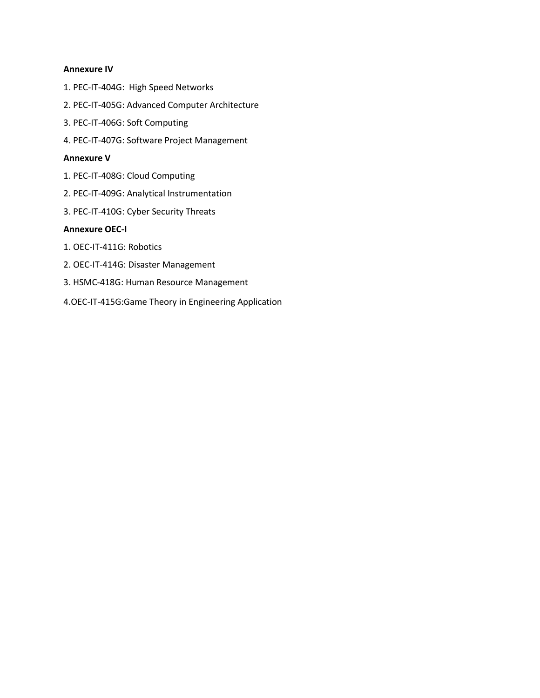#### **Annexure IV**

- 1. PEC-IT-404G: High Speed Networks
- 2. PEC-IT-405G: Advanced Computer Architecture
- 3. PEC-IT-406G: Soft Computing
- 4. PEC-IT-407G: Software Project Management

#### **Annexure V**

- 1. PEC-IT-408G: Cloud Computing
- 2. PEC-IT-409G: Analytical Instrumentation
- 3. PEC-IT-410G: Cyber Security Threats

## **Annexure OEC-I**

- 1. OEC-IT-411G: Robotics
- 2. OEC-IT-414G: Disaster Management
- 3. HSMC-418G: Human Resource Management
- 4.OEC-IT-415G:Game Theory in Engineering Application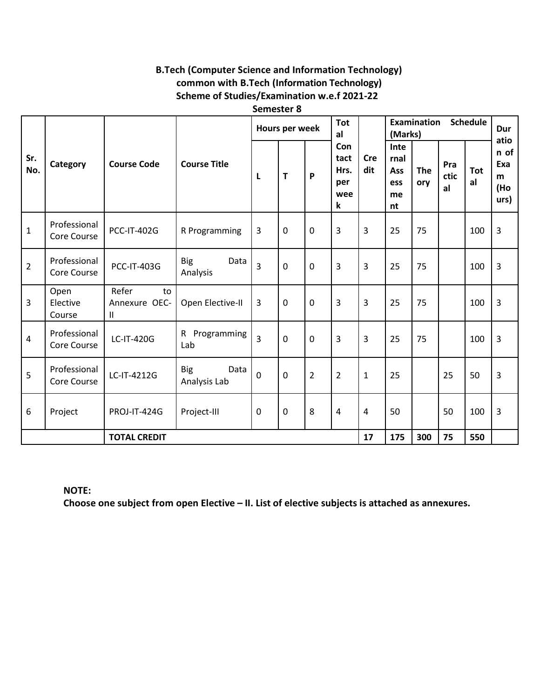# **B.Tech (Computer Science and Information Technology)** common with B.Tech (Information Technology) Scheme of Studies/Examination w.e.f 2021-22

Semester 8

| Sr.<br>No.          | Category                    | <b>Course Code</b>                | <b>Course Title</b>                | Hours per week |             |                | <b>Tot</b><br>al                       |                   | <b>Schedule</b><br><b>Examination</b><br>(Marks) |                   |                   |                  | Dur                                     |
|---------------------|-----------------------------|-----------------------------------|------------------------------------|----------------|-------------|----------------|----------------------------------------|-------------------|--------------------------------------------------|-------------------|-------------------|------------------|-----------------------------------------|
|                     |                             |                                   |                                    | L              | T           | P              | Con<br>tact<br>Hrs.<br>per<br>wee<br>k | <b>Cre</b><br>dit | Inte<br>rnal<br>Ass<br>ess<br>me<br>nt           | <b>The</b><br>ory | Pra<br>ctic<br>al | <b>Tot</b><br>al | atio<br>n of<br>Exa<br>m<br>(Ho<br>urs) |
| $\mathbf{1}$        | Professional<br>Core Course | <b>PCC-IT-402G</b>                | R Programming                      | 3              | $\mathbf 0$ | $\mathbf 0$    | 3                                      | 3                 | 25                                               | 75                |                   | 100              | 3                                       |
| $\overline{2}$      | Professional<br>Core Course | <b>PCC-IT-403G</b>                | Data<br><b>Big</b><br>Analysis     | $\overline{3}$ | $\mathbf 0$ | $\mathbf 0$    | 3                                      | 3                 | 25                                               | 75                |                   | 100              | 3                                       |
| $\overline{3}$      | Open<br>Elective<br>Course  | Refer<br>to<br>Annexure OEC-<br>Ш | Open Elective-II                   | $\overline{3}$ | $\mathbf 0$ | $\mathbf 0$    | 3                                      | 3                 | 25                                               | 75                |                   | 100              | 3                                       |
| $\overline{4}$      | Professional<br>Core Course | LC-IT-420G                        | R Programming<br>Lab               | $\overline{3}$ | $\mathbf 0$ | $\mathbf 0$    | $\overline{3}$                         | 3                 | 25                                               | 75                |                   | 100              | $\overline{3}$                          |
| 5                   | Professional<br>Core Course | LC-IT-4212G                       | <b>Big</b><br>Data<br>Analysis Lab | $\mathbf 0$    | $\Omega$    | $\overline{2}$ | $\overline{2}$                         | $\mathbf{1}$      | 25                                               |                   | 25                | 50               | $\overline{3}$                          |
| 6                   | Project                     | <b>PROJ-IT-424G</b>               | Project-III                        | $\mathbf 0$    | $\mathbf 0$ | 8              | $\overline{4}$                         | $\overline{4}$    | 50                                               |                   | 50                | 100              | 3                                       |
| <b>TOTAL CREDIT</b> |                             |                                   |                                    |                |             | 17             | 175                                    | 300               | 75                                               | 550               |                   |                  |                                         |

**NOTE:** 

Choose one subject from open Elective - II. List of elective subjects is attached as annexures.